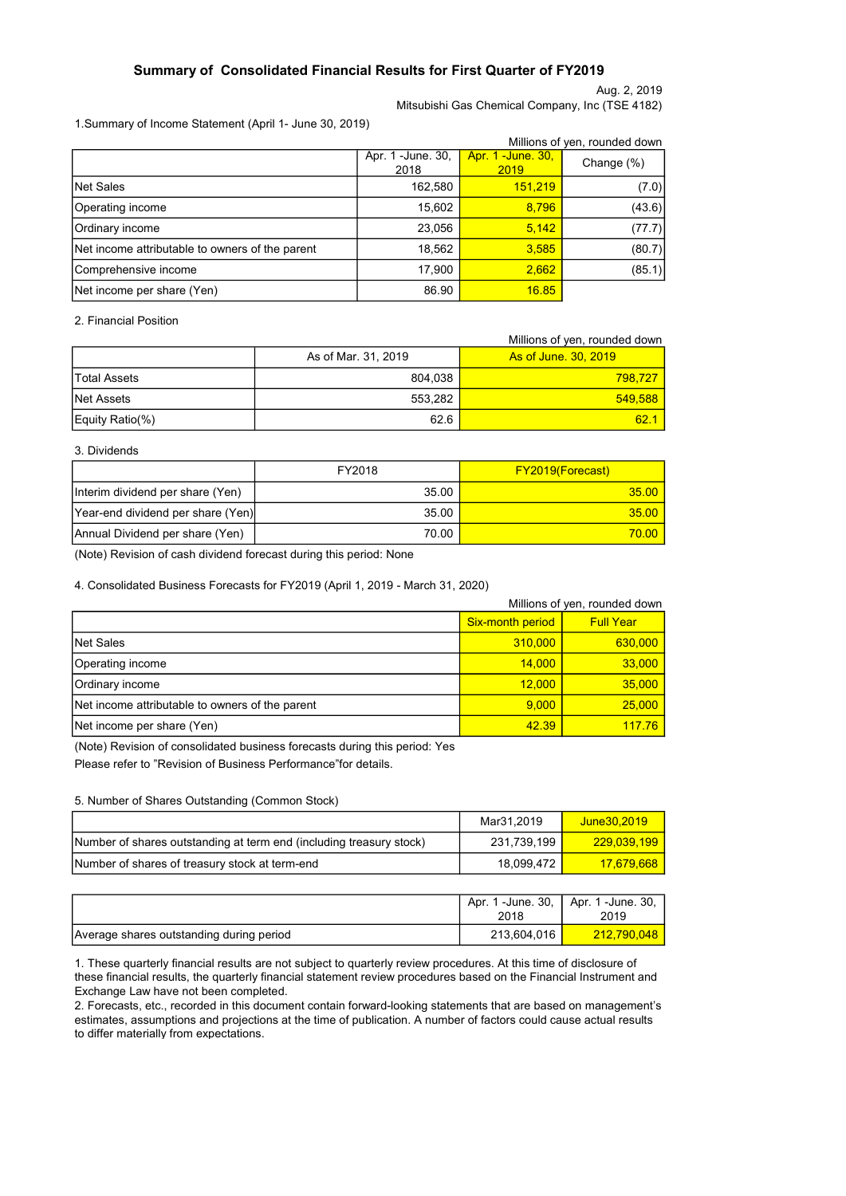## Summary of Consolidated Financial Results for First Quarter of FY2019

Aug. 2, 2019

Mitsubishi Gas Chemical Company, Inc (TSE 4182)

### 1.Summary of Income Statement (April 1- June 30, 2019)

|                                                 |                            |                                  | Millions of yen, rounded down |
|-------------------------------------------------|----------------------------|----------------------------------|-------------------------------|
|                                                 | Apr. 1 - June. 30,<br>2018 | <b>Apr. 1 -June. 30,</b><br>2019 | Change (%)                    |
| <b>Net Sales</b>                                | 162,580                    | 151,219                          | (7.0)                         |
| Operating income                                | 15,602                     | 8,796                            | (43.6)                        |
| Ordinary income                                 | 23,056                     | 5,142                            | (77.7)                        |
| Net income attributable to owners of the parent | 18,562                     | 3,585                            | (80.7)                        |
| Comprehensive income                            | 17,900                     | 2,662                            | (85.1)                        |
| Net income per share (Yen)                      | 86.90                      | 16.85                            |                               |

## 2. Financial Position

|                 |                     | Millions of yen, rounded down |
|-----------------|---------------------|-------------------------------|
|                 | As of Mar. 31, 2019 | <b>As of June, 30, 2019</b>   |
| lTotal Assets   | 804.038             | 798.727                       |
| INet Assets     | 553.282             | 549,588                       |
| Equity Ratio(%) | 62.6                | 62.1                          |

### 3. Dividends

|                                   | FY2018 | <b>FY2019(Forecast)</b> |
|-----------------------------------|--------|-------------------------|
| Interim dividend per share (Yen)  | 35.00  | 35.00                   |
| Year-end dividend per share (Yen) | 35.00  | 35.00                   |
| Annual Dividend per share (Yen)   | 70.00  | 70.00                   |

(Note) Revision of cash dividend forecast during this period: None

### 4. Consolidated Business Forecasts for FY2019 (April 1, 2019 - March 31, 2020)

|                                                 |                         | Millions of yen, rounded down |
|-------------------------------------------------|-------------------------|-------------------------------|
|                                                 | <b>Six-month period</b> | <b>Full Year</b>              |
| <b>Net Sales</b>                                | 310,000                 | 630,000                       |
| Operating income                                | 14.000                  | 33,000                        |
| Ordinary income                                 | 12,000                  | 35,000                        |
| Net income attributable to owners of the parent | 9.000                   | 25,000                        |
| Net income per share (Yen)                      | 42.39                   | 117.76                        |

(Note) Revision of consolidated business forecasts during this period: Yes Please refer to "Revision of Business Performance"for details.

### 5. Number of Shares Outstanding (Common Stock)

|                                                                     | Mar31.2019  | June30.2019 |
|---------------------------------------------------------------------|-------------|-------------|
| Number of shares outstanding at term end (including treasury stock) | 231.739.199 | 229.039.199 |
| Number of shares of treasury stock at term-end                      | 18.099.472  | 17.679.668  |

|                                          | 2018        | Apr. 1 -June. 30,   Apr. 1 -June. 30,  <br>2019 |
|------------------------------------------|-------------|-------------------------------------------------|
| Average shares outstanding during period | 213,604,016 | 212,790,048                                     |

1. These quarterly financial results are not subject to quarterly review procedures. At this time of disclosure of these financial results, the quarterly financial statement review procedures based on the Financial Instrument and Exchange Law have not been completed.

2. Forecasts, etc., recorded in this document contain forward-looking statements that are based on management's estimates, assumptions and projections at the time of publication. A number of factors could cause actual results to differ materially from expectations.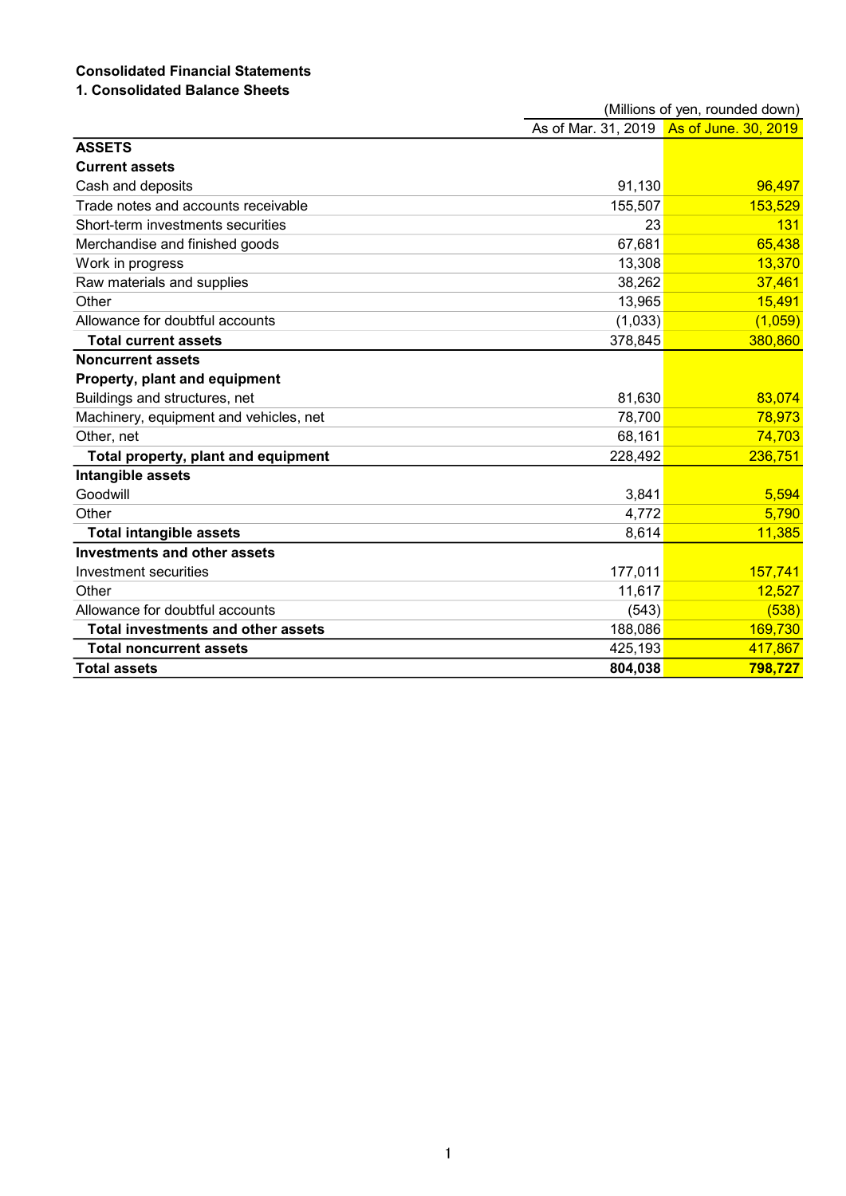# Consolidated Financial Statements

## 1. Consolidated Balance Sheets

|                                           |         | (Millions of yen, rounded down)          |
|-------------------------------------------|---------|------------------------------------------|
|                                           |         | As of Mar. 31, 2019 As of June. 30, 2019 |
| <b>ASSETS</b>                             |         |                                          |
| <b>Current assets</b>                     |         |                                          |
| Cash and deposits                         | 91,130  | 96,497                                   |
| Trade notes and accounts receivable       | 155,507 | 153,529                                  |
| Short-term investments securities         | 23      | 131                                      |
| Merchandise and finished goods            | 67,681  | 65,438                                   |
| Work in progress                          | 13,308  | 13,370                                   |
| Raw materials and supplies                | 38,262  | 37,461                                   |
| Other                                     | 13,965  | 15,491                                   |
| Allowance for doubtful accounts           | (1,033) | (1,059)                                  |
| <b>Total current assets</b>               | 378,845 | 380,860                                  |
| <b>Noncurrent assets</b>                  |         |                                          |
| Property, plant and equipment             |         |                                          |
| Buildings and structures, net             | 81,630  | 83,074                                   |
| Machinery, equipment and vehicles, net    | 78,700  | 78,973                                   |
| Other, net                                | 68,161  | 74,703                                   |
| Total property, plant and equipment       | 228,492 | 236,751                                  |
| Intangible assets                         |         |                                          |
| Goodwill                                  | 3,841   | 5,594                                    |
| Other                                     | 4,772   | 5,790                                    |
| <b>Total intangible assets</b>            | 8,614   | 11,385                                   |
| <b>Investments and other assets</b>       |         |                                          |
| Investment securities                     | 177,011 | 157,741                                  |
| Other                                     | 11,617  | 12,527                                   |
| Allowance for doubtful accounts           | (543)   | (538)                                    |
| <b>Total investments and other assets</b> | 188,086 | 169,730                                  |
| <b>Total noncurrent assets</b>            | 425,193 | 417,867                                  |
| <b>Total assets</b>                       | 804,038 | 798,727                                  |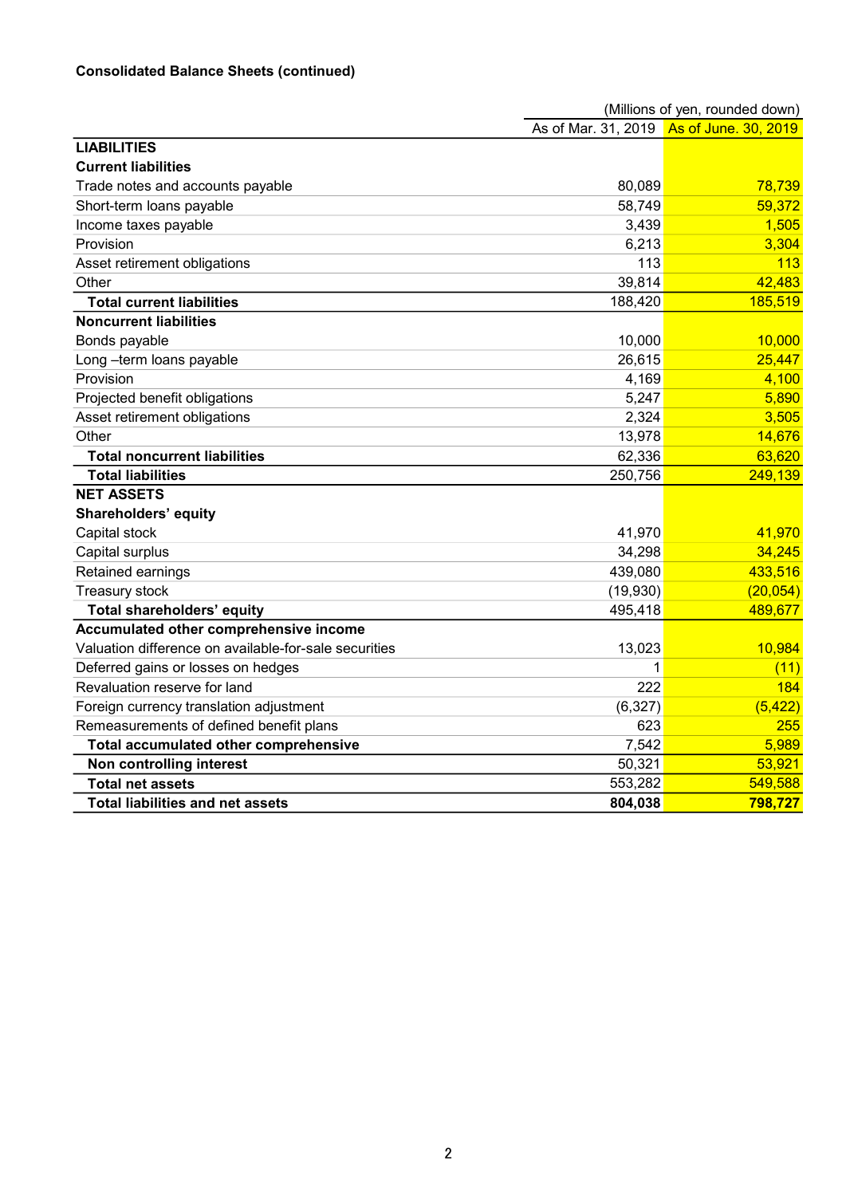# Consolidated Balance Sheets (continued)

|                                                       |          | (Millions of yen, rounded down)          |
|-------------------------------------------------------|----------|------------------------------------------|
|                                                       |          | As of Mar. 31, 2019 As of June. 30, 2019 |
| <b>LIABILITIES</b>                                    |          |                                          |
| <b>Current liabilities</b>                            |          |                                          |
| Trade notes and accounts payable                      | 80,089   | 78,739                                   |
| Short-term loans payable                              | 58,749   | 59,372                                   |
| Income taxes payable                                  | 3,439    | 1,505                                    |
| Provision                                             | 6,213    | 3,304                                    |
| Asset retirement obligations                          | 113      | 113                                      |
| Other                                                 | 39,814   | 42,483                                   |
| <b>Total current liabilities</b>                      | 188,420  | 185,519                                  |
| <b>Noncurrent liabilities</b>                         |          |                                          |
| Bonds payable                                         | 10,000   | 10,000                                   |
| Long-term loans payable                               | 26,615   | 25,447                                   |
| Provision                                             | 4,169    | 4,100                                    |
| Projected benefit obligations                         | 5,247    | 5,890                                    |
| Asset retirement obligations                          | 2,324    | 3,505                                    |
| Other                                                 | 13,978   | 14,676                                   |
| <b>Total noncurrent liabilities</b>                   | 62,336   | 63,620                                   |
| <b>Total liabilities</b>                              | 250,756  | 249,139                                  |
| <b>NET ASSETS</b>                                     |          |                                          |
| Shareholders' equity                                  |          |                                          |
| Capital stock                                         | 41,970   | 41,970                                   |
| Capital surplus                                       | 34,298   | 34,245                                   |
| Retained earnings                                     | 439,080  | 433,516                                  |
| Treasury stock                                        | (19,930) | (20, 054)                                |
| <b>Total shareholders' equity</b>                     | 495,418  | 489,677                                  |
| Accumulated other comprehensive income                |          |                                          |
| Valuation difference on available-for-sale securities | 13,023   | 10,984                                   |
| Deferred gains or losses on hedges                    | 1        | (11)                                     |
| Revaluation reserve for land                          | 222      | 184                                      |
| Foreign currency translation adjustment               | (6, 327) | (5, 422)                                 |
| Remeasurements of defined benefit plans               | 623      | 255                                      |
| Total accumulated other comprehensive                 | 7,542    | 5,989                                    |
| Non controlling interest                              | 50,321   | 53,921                                   |
| <b>Total net assets</b>                               | 553,282  | 549,588                                  |
| <b>Total liabilities and net assets</b>               | 804,038  | 798,727                                  |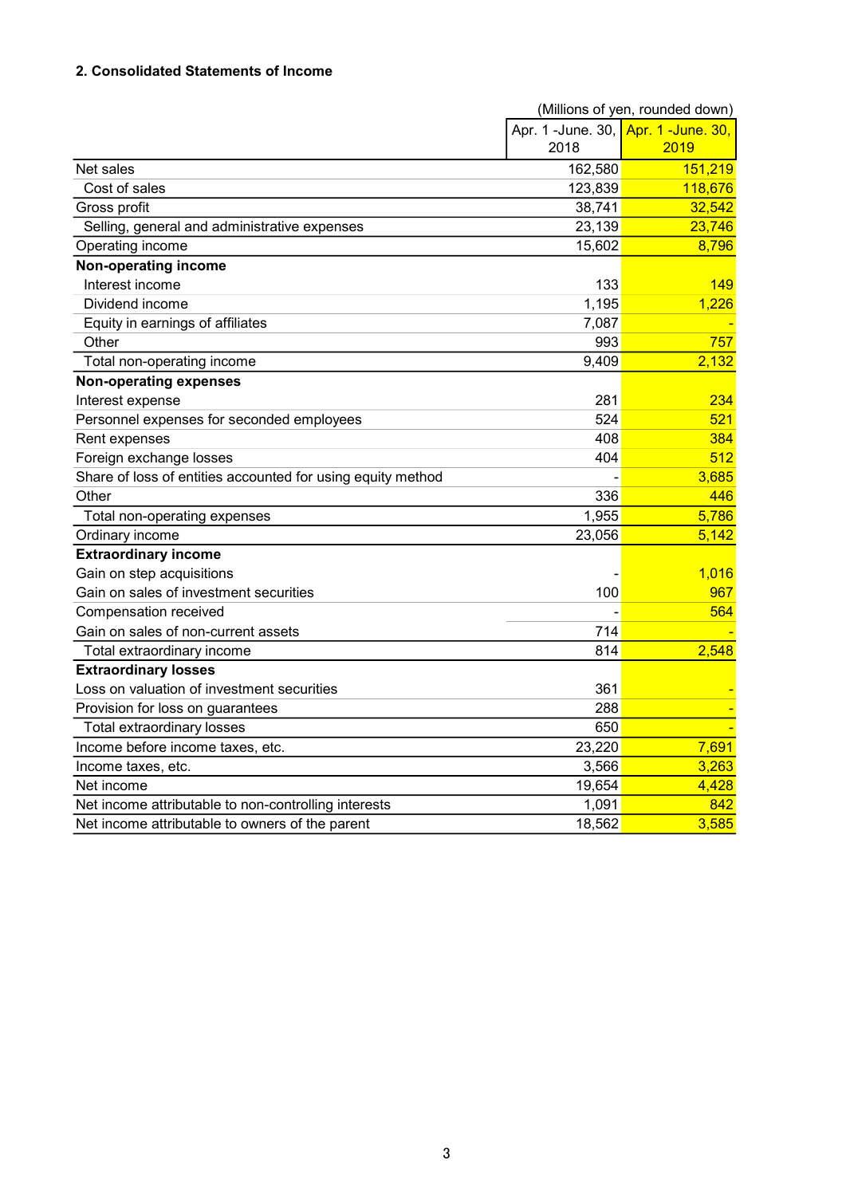## 2. Consolidated Statements of Income

|                                                             |                                     | (Millions of yen, rounded down) |
|-------------------------------------------------------------|-------------------------------------|---------------------------------|
|                                                             | Apr. 1 -June. 30, Apr. 1 -June. 30, |                                 |
|                                                             | 2018                                | 2019                            |
| Net sales                                                   | 162,580                             | 151,219                         |
| Cost of sales                                               | 123,839                             | 118,676                         |
| Gross profit                                                | 38,741                              | 32,542                          |
| Selling, general and administrative expenses                | 23,139                              | 23,746                          |
| Operating income                                            | 15,602                              | 8,796                           |
| Non-operating income                                        |                                     |                                 |
| Interest income                                             | 133                                 | 149                             |
| Dividend income                                             | 1,195                               | 1,226                           |
| Equity in earnings of affiliates                            | 7,087                               |                                 |
| Other                                                       | 993                                 | 757                             |
| Total non-operating income                                  | 9,409                               | 2,132                           |
| <b>Non-operating expenses</b>                               |                                     |                                 |
| Interest expense                                            | 281                                 | 234                             |
| Personnel expenses for seconded employees                   | 524                                 | 521                             |
| Rent expenses                                               | 408                                 | 384                             |
| Foreign exchange losses                                     | 404                                 | 512                             |
| Share of loss of entities accounted for using equity method |                                     | 3,685                           |
| Other                                                       | 336                                 | 446                             |
| Total non-operating expenses                                | 1,955                               | 5,786                           |
| Ordinary income                                             | 23,056                              | 5,142                           |
| <b>Extraordinary income</b>                                 |                                     |                                 |
| Gain on step acquisitions                                   |                                     | 1,016                           |
| Gain on sales of investment securities                      | 100                                 | 967                             |
| Compensation received                                       |                                     | 564                             |
| Gain on sales of non-current assets                         | 714                                 |                                 |
| Total extraordinary income                                  | 814                                 | 2,548                           |
| <b>Extraordinary losses</b>                                 |                                     |                                 |
| Loss on valuation of investment securities                  | 361                                 |                                 |
| Provision for loss on guarantees                            | 288                                 |                                 |
| <b>Total extraordinary losses</b>                           | 650                                 |                                 |
| Income before income taxes, etc.                            | 23,220                              | 7,691                           |
| Income taxes, etc.                                          | 3,566                               | 3,263                           |
| Net income                                                  | 19,654                              | 4,428                           |
| Net income attributable to non-controlling interests        | 1,091                               | 842                             |
| Net income attributable to owners of the parent             | 18,562                              | 3,585                           |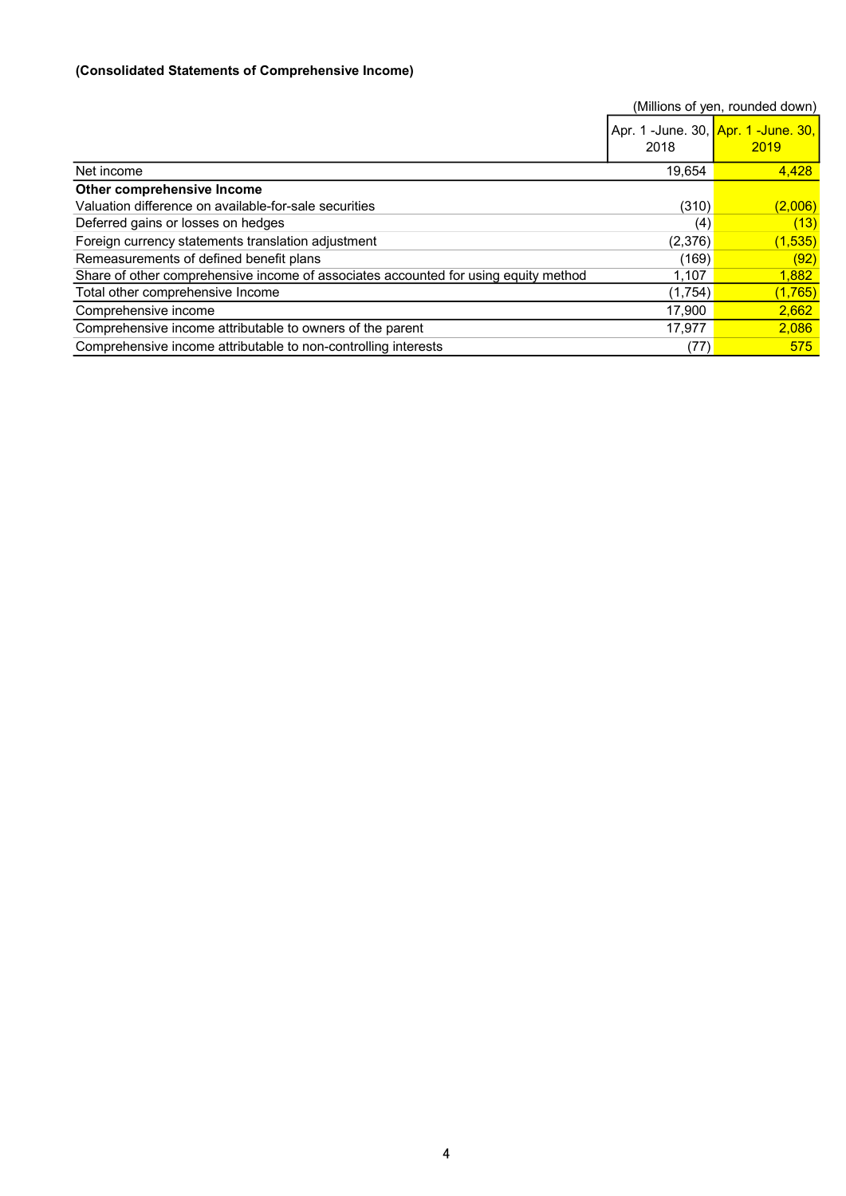## (Consolidated Statements of Comprehensive Income)

|                                                                                     |         | (Millions of yen, rounded down)             |
|-------------------------------------------------------------------------------------|---------|---------------------------------------------|
|                                                                                     | 2018    | Apr. 1 -June. 30, Apr. 1 -June. 30,<br>2019 |
| Net income                                                                          | 19,654  | 4,428                                       |
| Other comprehensive Income                                                          |         |                                             |
| Valuation difference on available-for-sale securities                               | (310)   | (2,006)                                     |
| Deferred gains or losses on hedges                                                  | (4)     | (13)                                        |
| Foreign currency statements translation adjustment                                  | (2,376) | (1, 535)                                    |
| Remeasurements of defined benefit plans                                             | (169)   | (92)                                        |
| Share of other comprehensive income of associates accounted for using equity method | 1,107   | 1,882                                       |
| Total other comprehensive Income                                                    | (1,754) | (1,765)                                     |
| Comprehensive income                                                                | 17,900  | 2,662                                       |
| Comprehensive income attributable to owners of the parent                           | 17,977  | 2,086                                       |
| Comprehensive income attributable to non-controlling interests                      | (77)    | 575                                         |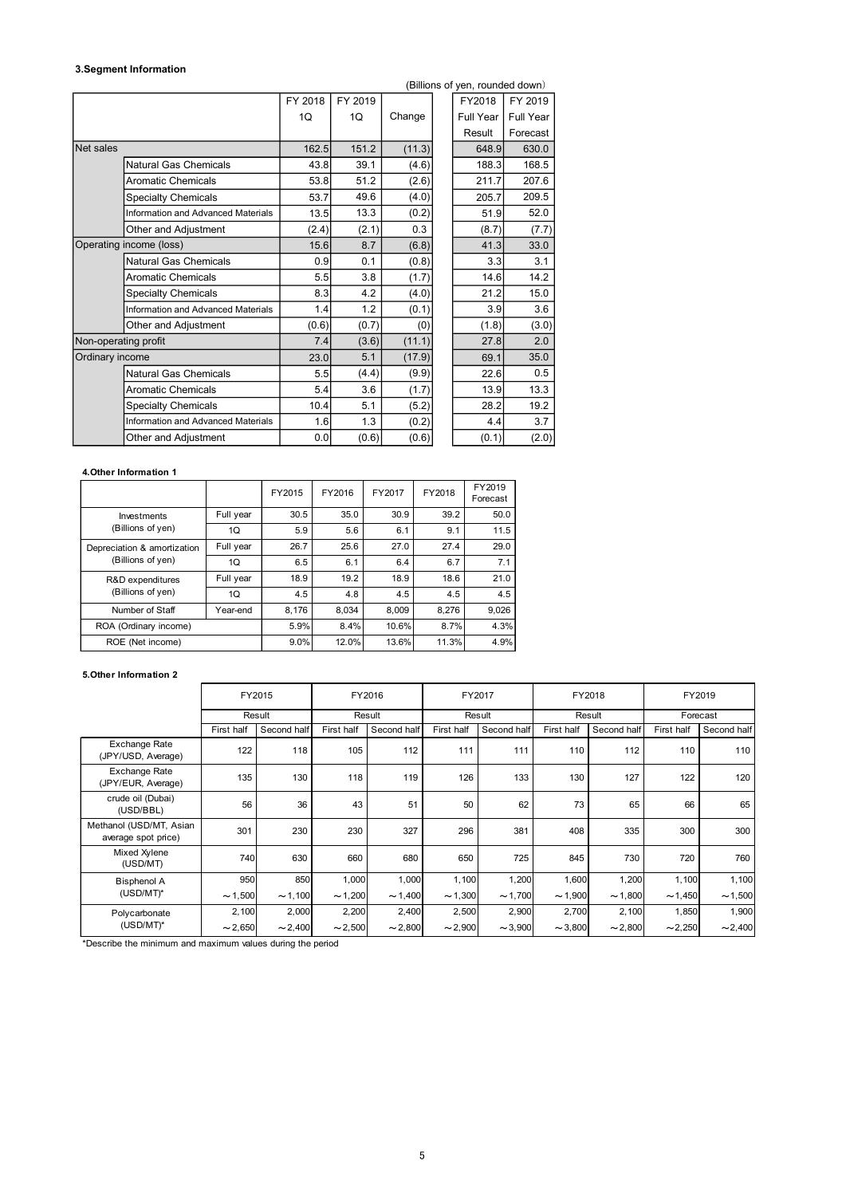#### 3.Segment Information

|                        |                                                  |                 |         |         |        |        |        | (Billions of yen, rounded down) |           |                                                                                             |                        |
|------------------------|--------------------------------------------------|-----------------|---------|---------|--------|--------|--------|---------------------------------|-----------|---------------------------------------------------------------------------------------------|------------------------|
|                        |                                                  |                 | FY 2018 | FY 2019 |        |        |        | FY2018                          | FY 2019   |                                                                                             |                        |
|                        |                                                  |                 | 1Q      | 1Q      |        | Change |        | Full Year                       | Full Year |                                                                                             |                        |
|                        |                                                  |                 |         |         |        |        |        | Result                          | Forecast  |                                                                                             |                        |
| Net sales              |                                                  |                 |         | 162.5   | 151.2  | (11.3) |        | 648.9                           | 630.0     |                                                                                             |                        |
|                        | Natural Gas Chemicals                            |                 |         | 43.8    | 39.1   | (4.6)  |        | 188.3                           | 168.5     |                                                                                             |                        |
|                        | <b>Aromatic Chemicals</b>                        |                 |         | 53.8    | 51.2   | (2.6)  |        | 211.7                           | 207.6     |                                                                                             |                        |
|                        | <b>Specialty Chemicals</b>                       |                 |         | 53.7    | 49.6   | (4.0)  |        | 205.7                           | 209.5     |                                                                                             |                        |
|                        | Information and Advanced Materials               |                 |         | 13.5    | 13.3   | (0.2)  |        | 51.9                            | 52.0      |                                                                                             |                        |
|                        | Other and Adjustment                             |                 |         | (2.4)   | (2.1)  | 0.3    |        | (8.7)                           |           | (7.7)                                                                                       |                        |
|                        | Operating income (loss)                          |                 |         | 15.6    | 8.7    | (6.8)  |        | 41.3                            | 33.0      |                                                                                             |                        |
|                        | Natural Gas Chemicals                            |                 |         | 0.9     | 0.1    | (0.8)  |        | 3.3                             |           | 3.1                                                                                         |                        |
|                        | <b>Aromatic Chemicals</b>                        |                 |         | 5.5     | 3.8    | (1.7)  |        | 14.6                            | 14.2      |                                                                                             |                        |
|                        | <b>Specialty Chemicals</b>                       |                 |         | 8.3     | 4.2    | (4.0)  |        | 21.2                            | 15.0      |                                                                                             |                        |
|                        | Information and Advanced Materials               |                 |         | 1.4     | 1.2    | (0.1)  |        | 3.9                             |           | 3.6                                                                                         |                        |
|                        | Other and Adjustment                             |                 |         | (0.6)   | (0.7)  |        | (0)    | (1.8)                           |           | (3.0)                                                                                       |                        |
| Non-operating profit   |                                                  |                 |         | 7.4     | (3.6)  | (11.1) |        | 27.8                            |           | 2.0                                                                                         |                        |
| Ordinary income        |                                                  |                 |         | 23.0    | 5.1    | (17.9) |        | 69.1                            | 35.0      |                                                                                             |                        |
|                        | <b>Natural Gas Chemicals</b>                     |                 |         | 5.5     | (4.4)  | (9.9)  |        | 22.6                            |           | $0.5\,$                                                                                     |                        |
|                        | <b>Aromatic Chemicals</b>                        |                 |         | 5.4     | 3.6    | (1.7)  |        | 13.9                            | 13.3      |                                                                                             |                        |
|                        | <b>Specialty Chemicals</b>                       |                 |         | 10.4    | 5.1    | (5.2)  |        | 28.2                            | 19.2      |                                                                                             |                        |
|                        | Information and Advanced Materials               |                 |         | 1.6     | 1.3    | (0.2)  |        | 4.4                             |           | 3.7                                                                                         |                        |
|                        | Other and Adjustment                             |                 |         | 0.0     | (0.6)  | (0.6)  |        | (0.1)                           |           | (2.0)                                                                                       |                        |
|                        |                                                  |                 |         |         |        |        |        |                                 |           |                                                                                             |                        |
| 4. Other Information 1 |                                                  |                 |         |         |        |        |        |                                 |           |                                                                                             |                        |
|                        |                                                  |                 | FY2015  | FY2016  |        | FY2017 | FY2018 | FY2019                          |           |                                                                                             |                        |
|                        |                                                  |                 | 30.5    | 35.0    |        | 30.9   | 39.2   | Forecast<br>50.0                |           |                                                                                             |                        |
|                        | Investments<br>(Billions of yen)                 | Full year<br>1Q | 5.9     | 5.6     |        | 6.1    | 9.1    | 11.5                            |           |                                                                                             |                        |
|                        |                                                  | Full year       | 26.7    | 25.6    |        | 27.0   | 27.4   | 29.0                            |           |                                                                                             |                        |
|                        | Depreciation & amortization<br>(Billions of yen) | 1Q              | 6.5     | 6.1     |        | 6.4    | 6.7    | 7.1                             |           |                                                                                             |                        |
|                        | R&D expenditures                                 | Full year       | 18.9    | 19.2    |        | 18.9   | 18.6   | 21.0                            |           |                                                                                             |                        |
|                        | (Billions of yen)                                | 1Q              | 4.5     | 4.8     |        | 4.5    | 4.5    | 4.5                             |           |                                                                                             |                        |
|                        | Number of Staff                                  | Year-end        | 8,176   | 8,034   |        | 8,009  | 8,276  | 9,026                           |           |                                                                                             |                        |
|                        | ROA (Ordinary income)                            |                 | 5.9%    | 8.4%    |        | 10.6%  | 8.7%   | 4.3%                            |           |                                                                                             |                        |
|                        | ROE (Net income)                                 |                 | 9.0%    | 12.0%   |        | 13.6%  | 11.3%  | 4.9%                            |           |                                                                                             |                        |
|                        |                                                  |                 |         |         |        |        |        |                                 |           |                                                                                             |                        |
| 5. Other Information 2 |                                                  |                 |         |         |        |        |        |                                 |           |                                                                                             |                        |
|                        |                                                  | FY2015          |         |         | FY2016 |        | FY2017 |                                 |           | FY2018                                                                                      | FY2019                 |
|                        |                                                  | Result          |         |         | Result |        |        | Result                          |           | Result                                                                                      | Forecast               |
|                        |                                                  |                 |         |         |        |        |        |                                 |           | First half Second half First half Second half First half Second half First half Second half | First half Second half |

### 4.Other Information 1

|                                       |           | FY2015 | FY2016 | FY2017 | FY2018 | FY2019<br>Forecast |
|---------------------------------------|-----------|--------|--------|--------|--------|--------------------|
| Investments                           | Full year | 30.5   | 35.0   | 30.9   | 39.2   | 50.0               |
| (Billions of yen)                     | 1Q        | 5.9    | 5.6    | 6.1    | 9.1    | 11.5               |
| Depreciation & amortization           | Full year | 26.7   | 25.6   | 27.0   | 27.4   | 29.0               |
| (Billions of yen)                     | 1Q        | 6.5    | 6.1    | 6.4    | 6.7    | 7.1                |
| R&D expenditures<br>(Billions of yen) | Full year | 18.9   | 19.2   | 18.9   | 18.6   | 21.0               |
|                                       | 1Q        | 4.5    | 4.8    | 4.5    | 4.5    | 4.5                |
| Number of Staff                       | Year-end  | 8.176  | 8.034  | 8,009  | 8.276  | 9,026              |
| ROA (Ordinary income)                 |           |        | 8.4%   | 10.6%  | 8.7%   | 4.3%               |
| ROE (Net income)                      |           | 9.0%   | 12.0%  | 13.6%  | 11.3%  | 4.9%               |

#### 5.Other Information 2

| <b>ACTI-operating bront</b> |                                                |              |              | $\overline{\phantom{a}}$ | (J.U         | (11.1)       | 21.U               | 2.0              |             |            |              |
|-----------------------------|------------------------------------------------|--------------|--------------|--------------------------|--------------|--------------|--------------------|------------------|-------------|------------|--------------|
| Ordinary income             |                                                |              | 23.0         | 5.1                      | (17.9)       | 69.1         | 35.0               |                  |             |            |              |
|                             | Natural Gas Chemicals                          |              |              | 5.5                      | (4.4)        | (9.9)        | 22.6               | 0.5              |             |            |              |
|                             | <b>Aromatic Chemicals</b>                      |              |              | 5.4                      | 3.6          | (1.7)        | 13.9               | 13.3             |             |            |              |
|                             | <b>Specialty Chemicals</b>                     |              |              | 10.4                     | 5.1          | (5.2)        | 28.2               | 19.2             |             |            |              |
|                             | Information and Advanced Materials             |              |              | 1.6                      | 1.3          | (0.2)        | 4.4                | $\overline{3.7}$ |             |            |              |
|                             | Other and Adjustment                           |              |              | 0.0                      | (0.6)        | (0.6)        | (0.1)              | (2.0)            |             |            |              |
|                             |                                                |              |              |                          |              |              |                    |                  |             |            |              |
|                             | 4. Other Information 1                         |              |              |                          |              |              |                    |                  |             |            |              |
|                             |                                                |              | FY2015       | FY2016                   | FY2017       | FY2018       | FY2019<br>Forecast |                  |             |            |              |
|                             | Investments                                    | Full year    | 30.5         | 35.0                     | 30.9         | 39.2         | 50.0               |                  |             |            |              |
|                             | (Billions of yen)                              | 1Q           | 5.9          | $5.6\,$                  | 6.1          | 9.1          | 11.5               |                  |             |            |              |
|                             | Depreciation & amortization                    | Full year    | 26.7         | 25.6                     | 27.0         | 27.4         | 29.0               |                  |             |            |              |
|                             | (Billions of yen)                              | 1Q           | 6.5          | 6.1                      | 6.4          | 6.7          | 7.1                |                  |             |            |              |
|                             | R&D expenditures                               | Full year    | 18.9         | 19.2                     | 18.9         | 18.6         | 21.0               |                  |             |            |              |
|                             | (Billions of yen)                              | 1Q           | 4.5          | $4.8\,$                  | 4.5          | 4.5          | 4.5                |                  |             |            |              |
|                             | Number of Staff                                | Year-end     | 8,176        | 8,034                    | 8,009        | 8,276        | 9,026              |                  |             |            |              |
|                             | ROA (Ordinary income)                          |              | 5.9%         | 8.4%                     | 10.6%        | 8.7%         | 4.3%               |                  |             |            |              |
|                             | ROE (Net income)                               |              | 9.0%         | 12.0%                    | 13.6%        | 11.3%        | 4.9%               |                  |             |            |              |
|                             |                                                |              |              |                          |              |              |                    |                  |             |            |              |
|                             | 5. Other Information 2                         |              |              |                          |              |              |                    |                  |             |            |              |
|                             |                                                | FY2015       |              |                          | FY2016       |              | FY2017             |                  | FY2018      |            | FY2019       |
|                             |                                                | Result       |              |                          | Result       |              | Result             |                  | Result      |            | Forecast     |
|                             |                                                | First half   | Second half  | First half               | Second half  | First half   | Second half        | First half       | Second half | First half | Second half  |
|                             | Exchange Rate<br>(JPY/USD, Average)            | 122          | 118          | 105                      |              | 112<br>111   | 111                | 110              | 112         | 110        | 110          |
|                             | Exchange Rate<br>(JPY/EUR, Average)            | 135          | 130          | 118                      |              | 119          | 126<br>133         | 130              | 127         | 122        | 120          |
|                             | crude oil (Dubai)<br>(USD/BBL)                 | 56           | 36           | 43                       |              | 51           | 50<br>62           | 73               | 65          | 66         | 65           |
|                             | Methanol (USD/MT, Asian<br>average spot price) | 301          | 230          | 230                      |              | 327          | 296<br>381         | 408              | 335         | 300        | 300          |
|                             | Mixed Xylene<br>(USD/MT)                       | 740          | 630          | 660                      |              | 680          | 650<br>725         | 845              | 730         | 720        | 760          |
|                             | <b>Bisphenol A</b>                             | 950          | 850          | 1,000                    | 1,000        | 1,100        | 1,200              | 1,600            | 1,200       | 1,100      | 1,100        |
|                             | $(USD/MT)^*$                                   | $\sim$ 1,500 | $\sim$ 1,100 | $\sim$ 1,200             | $\sim$ 1,400 | $\sim$ 1,300 | $\sim$ 1,700       | $\sim$ 1,900     | ~1,800      | ~1,450     | $\sim$ 1,500 |
| Polycarbonate               |                                                | 2,100        | 2,000        | 2,200                    | 2,400        | 2,500        | 2,900              | 2,700            | 2,100       | 1,850      | 1,900        |
|                             |                                                |              |              |                          | $\sim$ 2,800 | $\sim$ 2,900 | $\sim$ 3,900       | ~1,800           | ~2,800      | ~2,250     | $\sim$ 2,400 |
|                             | $(USD/MT)^*$                                   | $\sim$ 2,650 | $\sim$ 2,400 | $\sim$ 2,500             |              |              |                    |                  |             |            |              |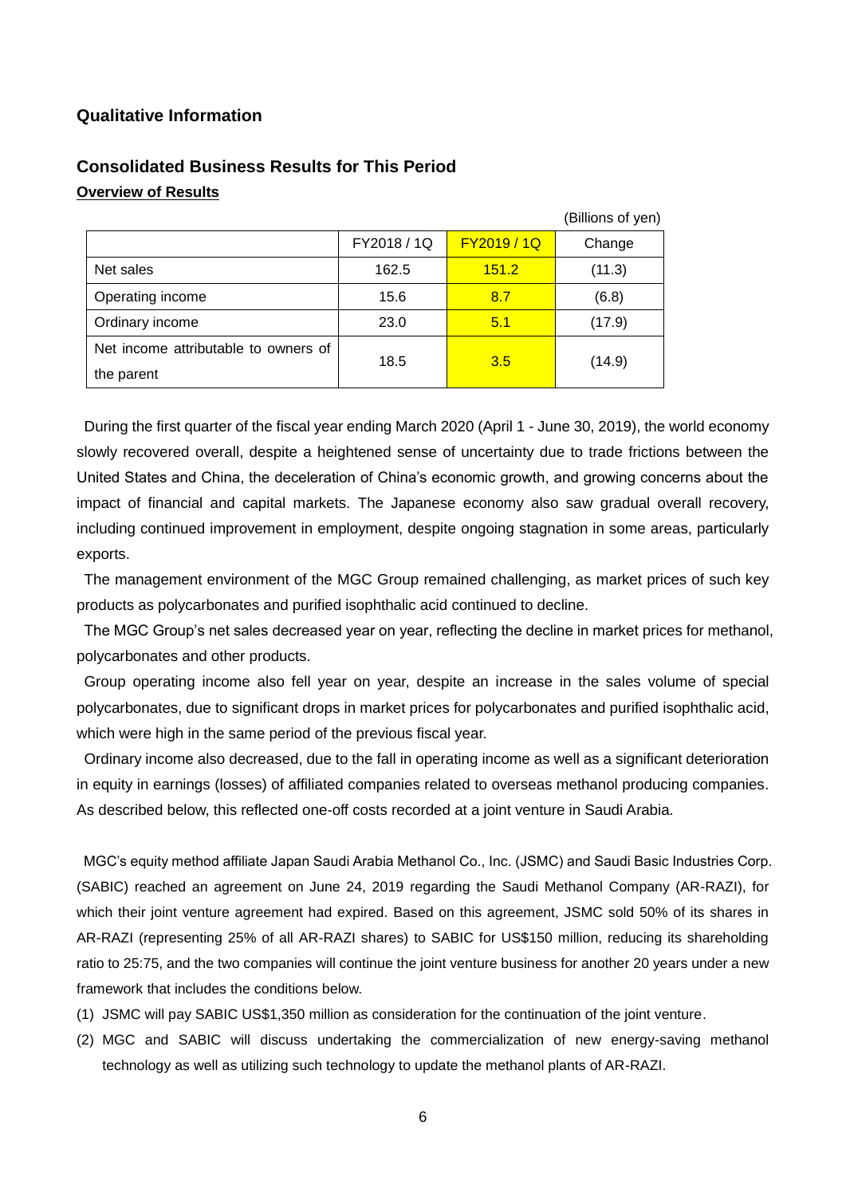## **Qualitative Information**

|                                      |             |             | (Billions of yen) |
|--------------------------------------|-------------|-------------|-------------------|
|                                      | FY2018 / 1Q | FY2019 / 1Q | Change            |
| Net sales                            | 162.5       | 151.2       | (11.3)            |
| Operating income                     | 15.6        | 8.7         | (6.8)             |
| Ordinary income                      | 23.0        | 5.1         | (17.9)            |
| Net income attributable to owners of | 18.5        | 3.5         |                   |
| the parent                           |             |             | (14.9)            |

# **Consolidated Business Results for This Period Overview of Results**

During the first quarter of the fiscal year ending March 2020 (April 1 - June 30, 2019), the world economy slowly recovered overall, despite a heightened sense of uncertainty due to trade frictions between the United States and China, the deceleration of China's economic growth, and growing concerns about the impact of financial and capital markets. The Japanese economy also saw gradual overall recovery, including continued improvement in employment, despite ongoing stagnation in some areas, particularly exports.

The management environment of the MGC Group remained challenging, as market prices of such key products as polycarbonates and purified isophthalic acid continued to decline.

The MGC Group's net sales decreased year on year, reflecting the decline in market prices for methanol, polycarbonates and other products.

Group operating income also fell year on year, despite an increase in the sales volume of special polycarbonates, due to significant drops in market prices for polycarbonates and purified isophthalic acid, which were high in the same period of the previous fiscal year.

Ordinary income also decreased, due to the fall in operating income as well as a significant deterioration in equity in earnings (losses) of affiliated companies related to overseas methanol producing companies. As described below, this reflected one-off costs recorded at a joint venture in Saudi Arabia.

MGC's equity method affiliate Japan Saudi Arabia Methanol Co., Inc. (JSMC) and Saudi Basic Industries Corp. (SABIC) reached an agreement on June 24, 2019 regarding the Saudi Methanol Company (AR-RAZI), for which their joint venture agreement had expired. Based on this agreement, JSMC sold 50% of its shares in AR-RAZI (representing 25% of all AR-RAZI shares) to SABIC for US\$150 million, reducing its shareholding ratio to 25:75, and the two companies will continue the joint venture business for another 20 years under a new framework that includes the conditions below.

- (1) JSMC will pay SABIC US\$1,350 million as consideration for the continuation of the joint venture.
- (2) MGC and SABIC will discuss undertaking the commercialization of new energy-saving methanol technology as well as utilizing such technology to update the methanol plants of AR-RAZI.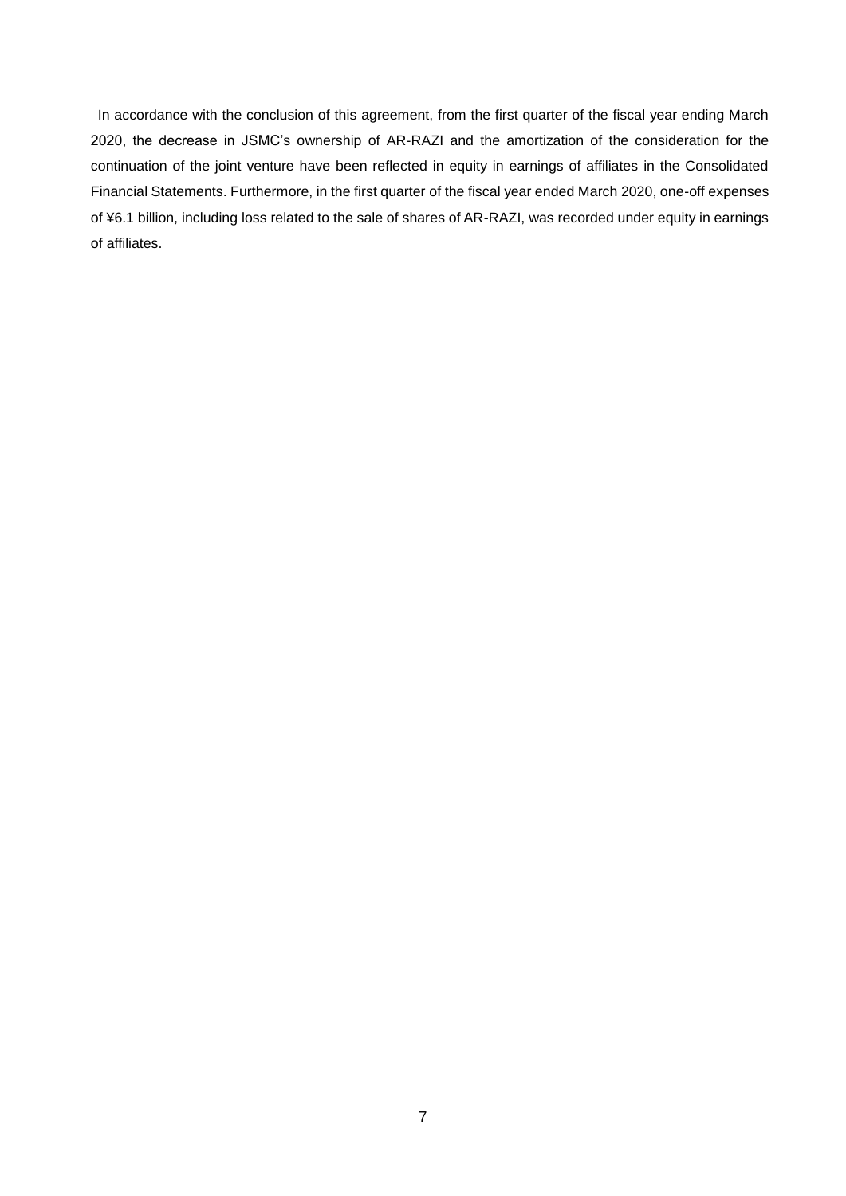In accordance with the conclusion of this agreement, from the first quarter of the fiscal year ending March 2020, the decrease in JSMC's ownership of AR-RAZI and the amortization of the consideration for the continuation of the joint venture have been reflected in equity in earnings of affiliates in the Consolidated Financial Statements. Furthermore, in the first quarter of the fiscal year ended March 2020, one-off expenses of ¥6.1 billion, including loss related to the sale of shares of AR-RAZI, was recorded under equity in earnings of affiliates.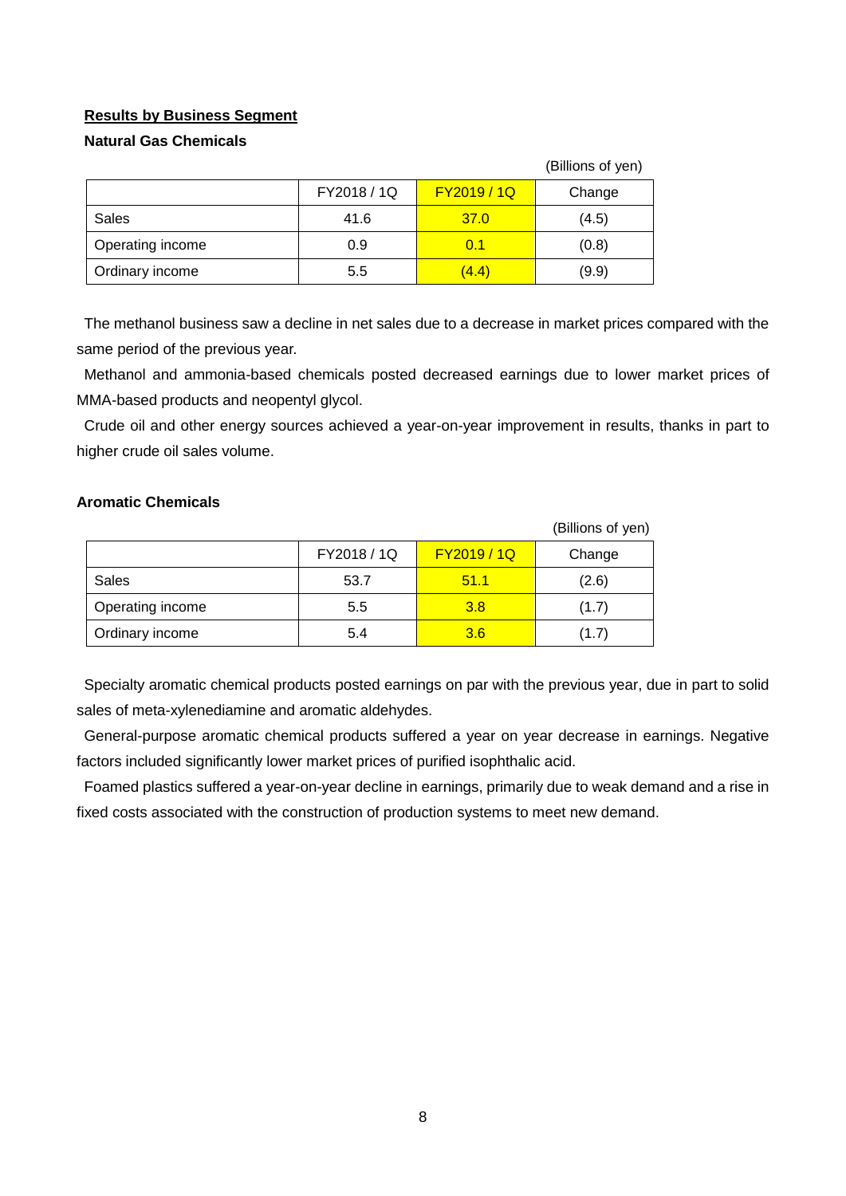## **Results by Business Segment**

## **Natural Gas Chemicals**

|                  |             |                  | (Billions of yen) |
|------------------|-------------|------------------|-------------------|
|                  | FY2018 / 1Q | <b>FY2019/1Q</b> | Change            |
| Sales            | 41.6        | 37.0             | (4.5)             |
| Operating income | 0.9         | 0.1              | (0.8)             |
| Ordinary income  | 5.5         | (4.4)            | (9.9)             |

The methanol business saw a decline in net sales due to a decrease in market prices compared with the same period of the previous year.

Methanol and ammonia-based chemicals posted decreased earnings due to lower market prices of MMA-based products and neopentyl glycol.

Crude oil and other energy sources achieved a year-on-year improvement in results, thanks in part to higher crude oil sales volume.

## **Aromatic Chemicals**

|                  |             |             | (Billions of yen) |
|------------------|-------------|-------------|-------------------|
|                  | FY2018 / 1Q | FY2019 / 1Q | Change            |
| Sales            | 53.7        | 51.1        | (2.6)             |
| Operating income | 5.5         | 3.8         | (1.7)             |
| Ordinary income  | 5.4         | 3.6         | (1.7)             |

Specialty aromatic chemical products posted earnings on par with the previous year, due in part to solid sales of meta-xylenediamine and aromatic aldehydes.

General-purpose aromatic chemical products suffered a year on year decrease in earnings. Negative factors included significantly lower market prices of purified isophthalic acid.

Foamed plastics suffered a year-on-year decline in earnings, primarily due to weak demand and a rise in fixed costs associated with the construction of production systems to meet new demand.